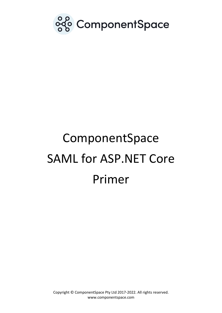

# ComponentSpace SAML for ASP.NET Core Primer

Copyright © ComponentSpace Pty Ltd 2017-2022. All rights reserved. www.componentspace.com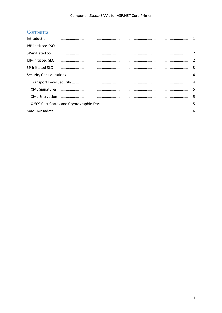# Contents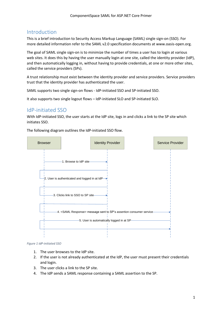# <span id="page-2-0"></span>Introduction

This is a brief introduction to Security Access Markup Language (SAML) single sign-on (SSO). For more detailed information refer to the SAML v2.0 specification documents at www.oasis-open.org.

The goal of SAML single sign-on is to minimize the number of times a user has to login at various web sites. It does this by having the user manually login at one site, called the identity provider (IdP), and then automatically logging in, without having to provide credentials, at one or more other sites, called the service providers (SPs).

A trust relationship must exist between the identity provider and service providers. Service providers trust that the identity provider has authenticated the user.

SAML supports two single sign-on flows - IdP-initiated SSO and SP-initiated SSO.

It also supports two single logout flows – IdP-initiated SLO and SP-initiated SLO.

## <span id="page-2-1"></span>IdP-initiated SSO

With IdP-initiated SSO, the user starts at the IdP site, logs in and clicks a link to the SP site which initiates SSO.

The following diagram outlines the IdP-initiated SSO flow.



#### *Figure 1 IdP-initiated SSO*

- 1. The user browses to the IdP site.
- 2. If the user is not already authenticated at the IdP, the user must present their credentials and login.
- 3. The user clicks a link to the SP site.
- 4. The IdP sends a SAML response containing a SAML assertion to the SP.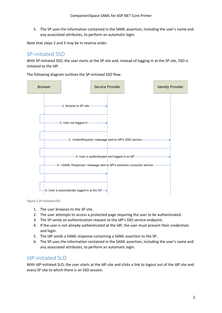5. The SP uses the information contained in the SAML assertion, including the user's name and any associated attributes, to perform an automatic login.

Note that steps 2 and 3 may be in reverse order.

# <span id="page-3-0"></span>SP-initiated SSO

With SP-initiated SSO, the user starts at the SP site and, instead of logging in at the SP site, SSO is initiated to the IdP.

The following diagram outlines the SP-initiated SSO flow.



*Figure 2 SP-initiated SSO*

- 1. The user browses to the SP site.
- 2. The user attempts to access a protected page requiring the user to be authenticated.
- 3. The SP sends an authentication request to the IdP's SSO service endpoint.
- 4. If the user is not already authenticated at the IdP, the user must present their credentials and login.
- 5. The IdP sends a SAML response containing a SAML assertion to the SP.
- 6. The SP uses the information contained in the SAML assertion, including the user's name and any associated attributes, to perform an automatic login.

## <span id="page-3-1"></span>IdP-initiated SLO

With IdP-initiated SLO, the user starts at the IdP site and clicks a link to logout out of the IdP site and every SP site to which there is an SSO session.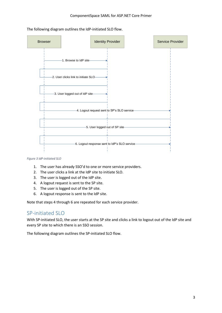The following diagram outlines the IdP-initiated SLO flow.



#### *Figure 3 IdP-initiated SLO*

- 1. The user has already SSO'd to one or more service providers.
- 2. The user clicks a link at the IdP site to initiate SLO.
- 3. The user is logged out of the IdP site.
- 4. A logout request is sent to the SP site.
- 5. The user is logged out of the SP site.
- 6. A logout response is sent to the IdP site.

Note that steps 4 through 6 are repeated for each service provider.

### <span id="page-4-0"></span>SP-initiated SLO

With SP-initiated SLO, the user starts at the SP site and clicks a link to logout out of the IdP site and every SP site to which there is an SSO session.

The following diagram outlines the SP-initiated SLO flow.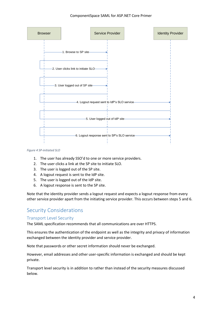

#### *Figure 4 SP-initiated SLO*

- 1. The user has already SSO'd to one or more service providers.
- 2. The user clicks a link at the SP site to initiate SLO.
- 3. The user is logged out of the SP site.
- 4. A logout request is sent to the IdP site.
- 5. The user is logged out of the IdP site.
- 6. A logout response is sent to the SP site.

Note that the identity provider sends a logout request and expects a logout response from every other service provider apart from the initiating service provider. This occurs between steps 5 and 6.

## <span id="page-5-0"></span>Security Considerations

#### <span id="page-5-1"></span>Transport Level Security

The SAML specification recommends that all communications are over HTTPS.

This ensures the authentication of the endpoint as well as the integrity and privacy of information exchanged between the identity provider and service provider.

Note that passwords or other secret information should never be exchanged.

However, email addresses and other user-specific information is exchanged and should be kept private.

Transport level security is in addition to rather than instead of the security measures discussed below.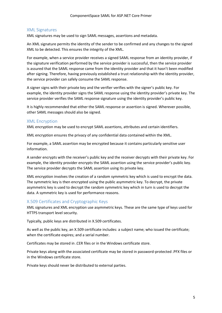#### <span id="page-6-0"></span>XML Signatures

XML signatures may be used to sign SAML messages, assertions and metadata.

An XML signature permits the identity of the sender to be confirmed and any changes to the signed XML to be detected. This ensures the integrity of the XML.

For example, when a service provider receives a signed SAML response from an identity provider, if the signature verification performed by the service provider is successful, then the service provider is assured that the SAML response came from the identity provider and that it hasn't been modified after signing. Therefore, having previously established a trust relationship with the identity provider, the service provider can safely consume the SAML response.

A signer signs with their private key and the verifier verifies with the signer's public key. For example, the identity provider signs the SAML response using the identity provider's private key. The service provider verifies the SAML response signature using the identity provider's public key.

It is highly recommended that either the SAML response or assertion is signed. Wherever possible, other SAML messages should also be signed.

#### <span id="page-6-1"></span>XML Encryption

XML encryption may be used to encrypt SAML assertions, attributes and certain identifiers.

XML encryption ensures the privacy of any confidential data contained within the XML.

For example, a SAML assertion may be encrypted because it contains particularly sensitive user information.

A sender encrypts with the receiver's public key and the receiver decrypts with their private key. For example, the identity provider encrypts the SAML assertion using the service provider's public key. The service provider decrypts the SAML assertion using its private key.

XML encryption involves the creation of a random symmetric key which is used to encrypt the data. The symmetric key is then encrypted using the public asymmetric key. To decrypt, the private asymmetric key is used to decrypt the random symmetric key which in turn is used to decrypt the data. A symmetric key is used for performance reasons.

#### <span id="page-6-2"></span>X.509 Certificates and Cryptographic Keys

XML signatures and XML encryption use asymmetric keys. These are the same type of keys used for HTTPS transport level security.

Typically, public keys are distributed in X.509 certificates.

As well as the public key, an X.509 certificate includes: a subject name; who issued the certificate; when the certificate expires; and a serial number.

Certificates may be stored in .CER files or in the Windows certificate store.

Private keys along with the associated certificate may be stored in password-protected .PFX files or in the Windows certificate store.

Private keys should never be distributed to external parties.